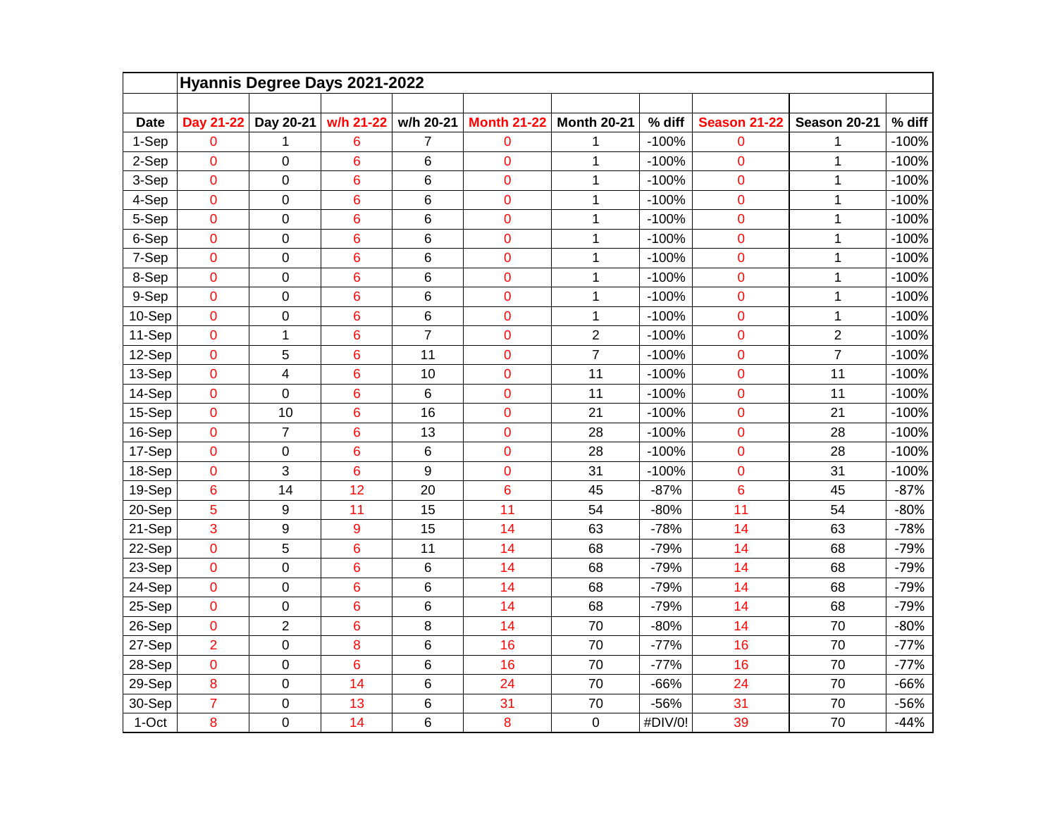|             | Hyannis Degree Days 2021-2022 |                |                |                |                    |                    |         |                     |                |         |  |  |  |
|-------------|-------------------------------|----------------|----------------|----------------|--------------------|--------------------|---------|---------------------|----------------|---------|--|--|--|
| <b>Date</b> | Day 21-22                     | Day 20-21      | w/h 21-22      | w/h 20-21      | <b>Month 21-22</b> | <b>Month 20-21</b> | % diff  | <b>Season 21-22</b> | Season 20-21   | % diff  |  |  |  |
| 1-Sep       | 0                             | 1              | 6              | 7              | $\mathbf 0$        | 1                  | $-100%$ | 0                   | 1              | $-100%$ |  |  |  |
| 2-Sep       | 0                             | 0              | 6              | 6              | $\mathbf 0$        | $\mathbf{1}$       | $-100%$ | $\mathbf 0$         | 1              | $-100%$ |  |  |  |
| 3-Sep       | 0                             | 0              | 6              | 6              | $\mathbf 0$        | $\mathbf{1}$       | $-100%$ | 0                   | $\mathbf 1$    | $-100%$ |  |  |  |
| 4-Sep       | $\mathbf 0$                   | 0              | 6              | 6              | $\mathbf 0$        | 1                  | $-100%$ | $\mathbf 0$         | 1              | $-100%$ |  |  |  |
| 5-Sep       | $\overline{0}$                | $\overline{0}$ | $\overline{6}$ | 6              | $\overline{0}$     | $\mathbf{1}$       | $-100%$ | 0                   | $\overline{1}$ | $-100%$ |  |  |  |
| 6-Sep       | $\overline{0}$                | 0              | 6              | 6              | $\overline{0}$     | $\mathbf 1$        | $-100%$ | 0                   | $\overline{1}$ | $-100%$ |  |  |  |
| 7-Sep       | $\mathbf 0$                   | 0              | 6              | 6              | $\mathbf 0$        | 1                  | $-100%$ | 0                   | $\mathbf 1$    | $-100%$ |  |  |  |
| 8-Sep       | $\mathbf 0$                   | 0              | 6              | 6              | $\mathbf 0$        | $\mathbf 1$        | $-100%$ | 0                   | 1              | $-100%$ |  |  |  |
| 9-Sep       | $\mathbf 0$                   | 0              | 6              | 6              | $\overline{0}$     | 1                  | $-100%$ | 0                   | $\mathbf 1$    | $-100%$ |  |  |  |
| 10-Sep      | $\overline{0}$                | 0              | 6              | 6              | 0                  | $\mathbf{1}$       | $-100%$ | 0                   | 1              | $-100%$ |  |  |  |
| 11-Sep      | $\overline{0}$                | 1              | 6              | $\overline{7}$ | $\overline{0}$     | $\overline{c}$     | $-100%$ | 0                   | $\overline{2}$ | $-100%$ |  |  |  |
| 12-Sep      | 0                             | 5              | 6              | 11             | $\mathbf 0$        | $\overline{7}$     | $-100%$ | 0                   | $\overline{7}$ | $-100%$ |  |  |  |
| 13-Sep      | $\mathbf 0$                   | 4              | 6              | 10             | $\mathbf 0$        | 11                 | $-100%$ | 0                   | 11             | $-100%$ |  |  |  |
| 14-Sep      | $\overline{0}$                | 0              | 6              | 6              | $\overline{0}$     | 11                 | $-100%$ | 0                   | 11             | $-100%$ |  |  |  |
| 15-Sep      | $\overline{0}$                | 10             | 6              | 16             | 0                  | 21                 | $-100%$ | $\overline{0}$      | 21             | $-100%$ |  |  |  |
| 16-Sep      | $\mathbf 0$                   | $\overline{7}$ | 6              | 13             | $\mathbf 0$        | 28                 | $-100%$ | 0                   | 28             | $-100%$ |  |  |  |
| 17-Sep      | $\overline{0}$                | 0              | 6              | 6              | $\overline{0}$     | 28                 | $-100%$ | 0                   | 28             | $-100%$ |  |  |  |
| 18-Sep      | $\mathbf 0$                   | 3              | 6              | 9              | $\mathbf 0$        | 31                 | $-100%$ | 0                   | 31             | $-100%$ |  |  |  |
| 19-Sep      | 6                             | 14             | 12             | 20             | 6                  | 45                 | $-87%$  | 6                   | 45             | $-87%$  |  |  |  |
| 20-Sep      | 5                             | 9              | 11             | 15             | 11                 | 54                 | $-80%$  | 11                  | 54             | $-80%$  |  |  |  |
| 21-Sep      | 3                             | 9              | 9              | 15             | 14                 | 63                 | $-78%$  | 14                  | 63             | $-78%$  |  |  |  |
| 22-Sep      | $\mathbf 0$                   | 5              | 6              | 11             | 14                 | 68                 | $-79%$  | 14                  | 68             | $-79%$  |  |  |  |
| 23-Sep      | $\mathbf 0$                   | 0              | 6              | 6              | 14                 | 68                 | $-79%$  | 14                  | 68             | $-79%$  |  |  |  |
| 24-Sep      | 0                             | 0              | 6              | 6              | 14                 | 68                 | $-79%$  | 14                  | 68             | $-79%$  |  |  |  |
| 25-Sep      | $\mathbf 0$                   | 0              | 6              | 6              | 14                 | 68                 | $-79%$  | 14                  | 68             | $-79%$  |  |  |  |
| 26-Sep      | $\overline{0}$                | $\overline{2}$ | 6              | 8              | 14                 | 70                 | $-80%$  | 14                  | 70             | $-80%$  |  |  |  |
| 27-Sep      | $\overline{2}$                | 0              | 8              | 6              | 16                 | 70                 | $-77%$  | 16                  | 70             | $-77%$  |  |  |  |
| 28-Sep      | $\mathbf 0$                   | 0              | 6              | 6              | 16                 | 70                 | $-77%$  | 16                  | 70             | $-77%$  |  |  |  |
| 29-Sep      | 8                             | $\mathbf 0$    | 14             | 6              | 24                 | 70                 | $-66%$  | 24                  | 70             | $-66%$  |  |  |  |
| 30-Sep      | $\overline{7}$                | 0              | 13             | 6              | 31                 | 70                 | -56%    | 31                  | 70             | $-56%$  |  |  |  |
| 1-Oct       | 8                             | 0              | 14             | 6              | 8                  | $\mathbf 0$        | #DIV/0! | 39                  | 70             | $-44%$  |  |  |  |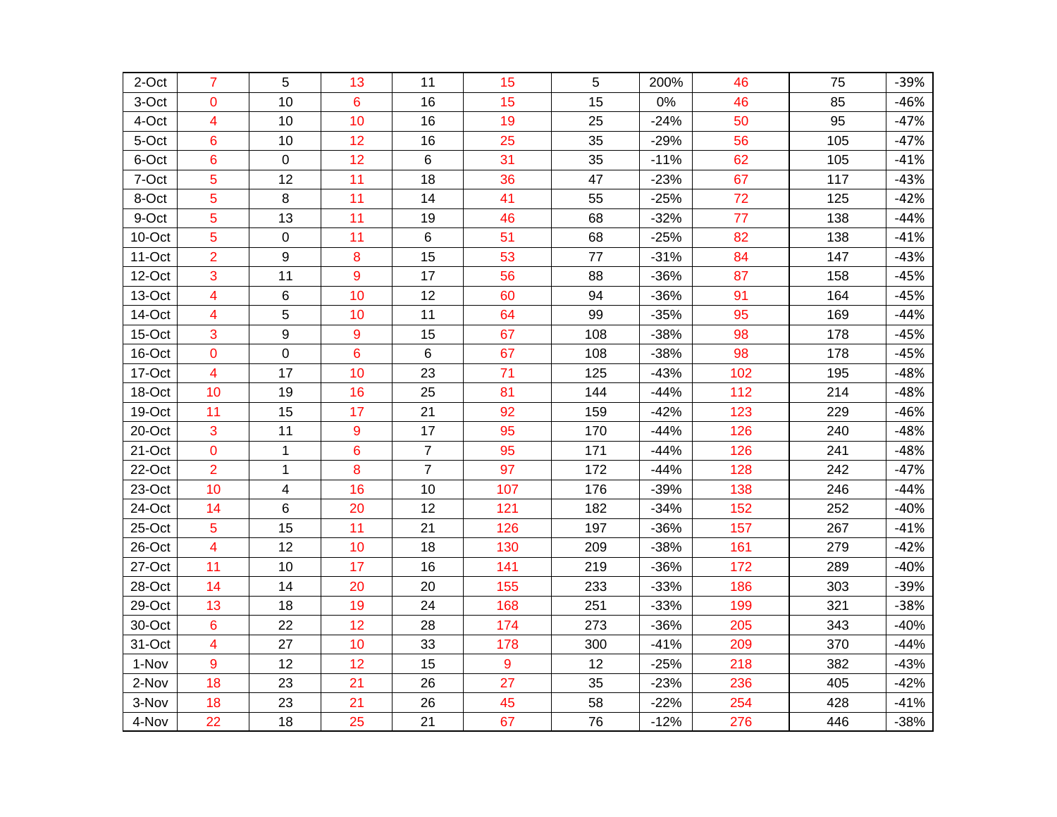| 2-Oct  | $\overline{7}$          | 5            | 13 | 11             | 15  | 5   | 200%   | 46  | 75  | $-39%$ |
|--------|-------------------------|--------------|----|----------------|-----|-----|--------|-----|-----|--------|
| 3-Oct  | 0                       | 10           | 6  | 16             | 15  | 15  | 0%     | 46  | 85  | $-46%$ |
| 4-Oct  | 4                       | 10           | 10 | 16             | 19  | 25  | $-24%$ | 50  | 95  | $-47%$ |
| 5-Oct  | 6                       | 10           | 12 | 16             | 25  | 35  | $-29%$ | 56  | 105 | $-47%$ |
| 6-Oct  | 6                       | 0            | 12 | 6              | 31  | 35  | $-11%$ | 62  | 105 | $-41%$ |
| 7-Oct  | 5                       | 12           | 11 | 18             | 36  | 47  | $-23%$ | 67  | 117 | $-43%$ |
| 8-Oct  | 5                       | 8            | 11 | 14             | 41  | 55  | $-25%$ | 72  | 125 | $-42%$ |
| 9-Oct  | 5                       | 13           | 11 | 19             | 46  | 68  | $-32%$ | 77  | 138 | $-44%$ |
| 10-Oct | 5                       | $\mathbf 0$  | 11 | 6              | 51  | 68  | $-25%$ | 82  | 138 | $-41%$ |
| 11-Oct | $\overline{2}$          | 9            | 8  | 15             | 53  | 77  | $-31%$ | 84  | 147 | $-43%$ |
| 12-Oct | 3                       | 11           | 9  | 17             | 56  | 88  | $-36%$ | 87  | 158 | $-45%$ |
| 13-Oct | 4                       | 6            | 10 | 12             | 60  | 94  | $-36%$ | 91  | 164 | $-45%$ |
| 14-Oct | $\overline{\mathbf{4}}$ | 5            | 10 | 11             | 64  | 99  | $-35%$ | 95  | 169 | $-44%$ |
| 15-Oct | 3                       | 9            | 9  | 15             | 67  | 108 | $-38%$ | 98  | 178 | $-45%$ |
| 16-Oct | 0                       | 0            | 6  | 6              | 67  | 108 | $-38%$ | 98  | 178 | $-45%$ |
| 17-Oct | 4                       | 17           | 10 | 23             | 71  | 125 | $-43%$ | 102 | 195 | $-48%$ |
| 18-Oct | 10                      | 19           | 16 | 25             | 81  | 144 | $-44%$ | 112 | 214 | $-48%$ |
| 19-Oct | 11                      | 15           | 17 | 21             | 92  | 159 | $-42%$ | 123 | 229 | $-46%$ |
| 20-Oct | 3                       | 11           | 9  | 17             | 95  | 170 | $-44%$ | 126 | 240 | $-48%$ |
| 21-Oct | 0                       | $\mathbf{1}$ | 6  | $\overline{7}$ | 95  | 171 | $-44%$ | 126 | 241 | $-48%$ |
| 22-Oct | $\overline{2}$          | $\mathbf{1}$ | 8  | $\overline{7}$ | 97  | 172 | $-44%$ | 128 | 242 | $-47%$ |
| 23-Oct | 10                      | 4            | 16 | 10             | 107 | 176 | $-39%$ | 138 | 246 | $-44%$ |
| 24-Oct | 14                      | 6            | 20 | 12             | 121 | 182 | $-34%$ | 152 | 252 | $-40%$ |
| 25-Oct | 5                       | 15           | 11 | 21             | 126 | 197 | $-36%$ | 157 | 267 | $-41%$ |
| 26-Oct | $\overline{4}$          | 12           | 10 | 18             | 130 | 209 | $-38%$ | 161 | 279 | $-42%$ |
| 27-Oct | 11                      | 10           | 17 | 16             | 141 | 219 | $-36%$ | 172 | 289 | $-40%$ |
| 28-Oct | 14                      | 14           | 20 | 20             | 155 | 233 | $-33%$ | 186 | 303 | $-39%$ |
| 29-Oct | 13                      | 18           | 19 | 24             | 168 | 251 | $-33%$ | 199 | 321 | $-38%$ |
| 30-Oct | 6                       | 22           | 12 | 28             | 174 | 273 | $-36%$ | 205 | 343 | $-40%$ |
| 31-Oct | 4                       | 27           | 10 | 33             | 178 | 300 | $-41%$ | 209 | 370 | $-44%$ |
| 1-Nov  | 9                       | 12           | 12 | 15             | 9   | 12  | $-25%$ | 218 | 382 | $-43%$ |
| 2-Nov  | 18                      | 23           | 21 | 26             | 27  | 35  | $-23%$ | 236 | 405 | $-42%$ |
| 3-Nov  | 18                      | 23           | 21 | 26             | 45  | 58  | $-22%$ | 254 | 428 | $-41%$ |
| 4-Nov  | 22                      | 18           | 25 | 21             | 67  | 76  | $-12%$ | 276 | 446 | $-38%$ |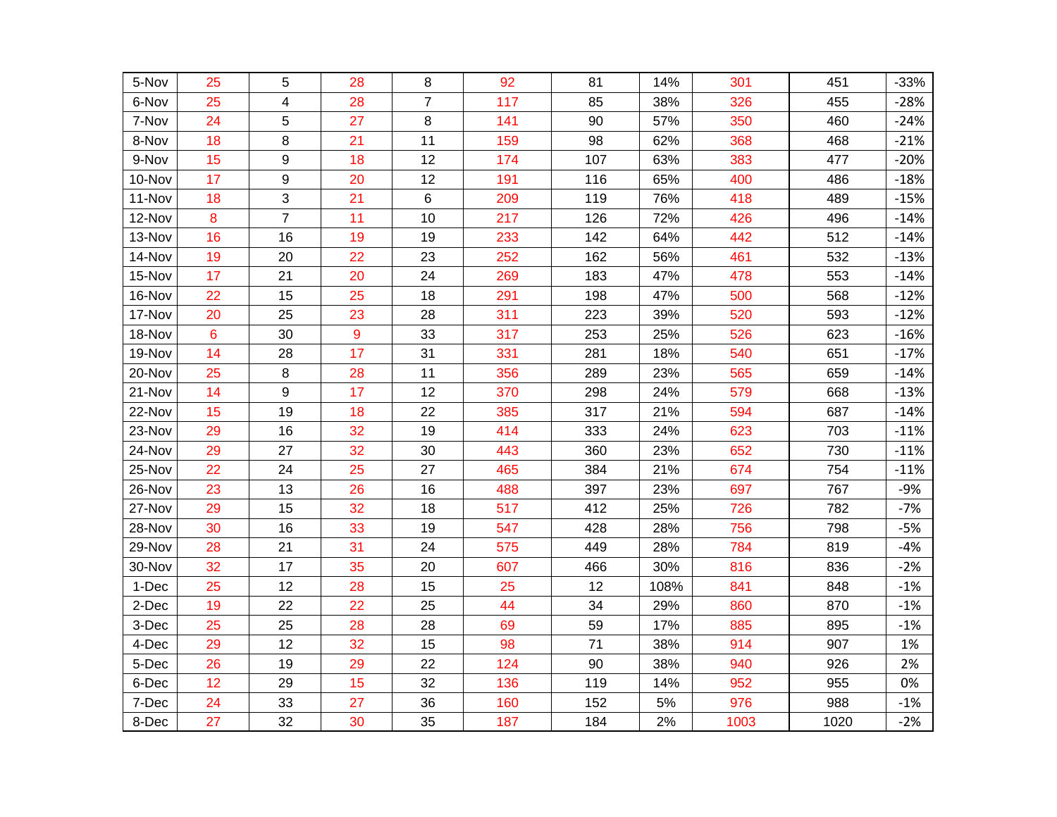| 5-Nov   | 25 | 5                | 28 | 8              | 92  | 81  | 14%  | 301  | 451  | $-33%$ |
|---------|----|------------------|----|----------------|-----|-----|------|------|------|--------|
| 6-Nov   | 25 | 4                | 28 | $\overline{7}$ | 117 | 85  | 38%  | 326  | 455  | $-28%$ |
| 7-Nov   | 24 | 5                | 27 | 8              | 141 | 90  | 57%  | 350  | 460  | $-24%$ |
| 8-Nov   | 18 | 8                | 21 | 11             | 159 | 98  | 62%  | 368  | 468  | $-21%$ |
| 9-Nov   | 15 | 9                | 18 | 12             | 174 | 107 | 63%  | 383  | 477  | $-20%$ |
| 10-Nov  | 17 | $\boldsymbol{9}$ | 20 | 12             | 191 | 116 | 65%  | 400  | 486  | $-18%$ |
| 11-Nov  | 18 | 3                | 21 | 6              | 209 | 119 | 76%  | 418  | 489  | $-15%$ |
| 12-Nov  | 8  | $\overline{7}$   | 11 | 10             | 217 | 126 | 72%  | 426  | 496  | $-14%$ |
| 13-Nov  | 16 | 16               | 19 | 19             | 233 | 142 | 64%  | 442  | 512  | $-14%$ |
| 14-Nov  | 19 | 20               | 22 | 23             | 252 | 162 | 56%  | 461  | 532  | $-13%$ |
| 15-Nov  | 17 | 21               | 20 | 24             | 269 | 183 | 47%  | 478  | 553  | $-14%$ |
| 16-Nov  | 22 | 15               | 25 | 18             | 291 | 198 | 47%  | 500  | 568  | $-12%$ |
| 17-Nov  | 20 | 25               | 23 | 28             | 311 | 223 | 39%  | 520  | 593  | $-12%$ |
| 18-Nov  | 6  | 30               | 9  | 33             | 317 | 253 | 25%  | 526  | 623  | $-16%$ |
| 19-Nov  | 14 | 28               | 17 | 31             | 331 | 281 | 18%  | 540  | 651  | $-17%$ |
| 20-Nov  | 25 | 8                | 28 | 11             | 356 | 289 | 23%  | 565  | 659  | $-14%$ |
| 21-Nov  | 14 | $\mathsf g$      | 17 | 12             | 370 | 298 | 24%  | 579  | 668  | $-13%$ |
| 22-Nov  | 15 | 19               | 18 | 22             | 385 | 317 | 21%  | 594  | 687  | $-14%$ |
| 23-Nov  | 29 | 16               | 32 | 19             | 414 | 333 | 24%  | 623  | 703  | $-11%$ |
| 24-Nov  | 29 | 27               | 32 | 30             | 443 | 360 | 23%  | 652  | 730  | $-11%$ |
| 25-Nov  | 22 | 24               | 25 | 27             | 465 | 384 | 21%  | 674  | 754  | $-11%$ |
| 26-Nov  | 23 | 13               | 26 | 16             | 488 | 397 | 23%  | 697  | 767  | $-9%$  |
| 27-Nov  | 29 | 15               | 32 | 18             | 517 | 412 | 25%  | 726  | 782  | $-7%$  |
| 28-Nov  | 30 | 16               | 33 | 19             | 547 | 428 | 28%  | 756  | 798  | $-5%$  |
| 29-Nov  | 28 | 21               | 31 | 24             | 575 | 449 | 28%  | 784  | 819  | $-4%$  |
| 30-Nov  | 32 | 17               | 35 | 20             | 607 | 466 | 30%  | 816  | 836  | $-2%$  |
| $1-Dec$ | 25 | 12               | 28 | 15             | 25  | 12  | 108% | 841  | 848  | $-1%$  |
| 2-Dec   | 19 | 22               | 22 | 25             | 44  | 34  | 29%  | 860  | 870  | $-1%$  |
| 3-Dec   | 25 | 25               | 28 | 28             | 69  | 59  | 17%  | 885  | 895  | $-1%$  |
| 4-Dec   | 29 | 12               | 32 | 15             | 98  | 71  | 38%  | 914  | 907  | 1%     |
| 5-Dec   | 26 | 19               | 29 | 22             | 124 | 90  | 38%  | 940  | 926  | 2%     |
| 6-Dec   | 12 | 29               | 15 | 32             | 136 | 119 | 14%  | 952  | 955  | 0%     |
| 7-Dec   | 24 | 33               | 27 | 36             | 160 | 152 | 5%   | 976  | 988  | $-1%$  |
| 8-Dec   | 27 | 32               | 30 | 35             | 187 | 184 | 2%   | 1003 | 1020 | $-2%$  |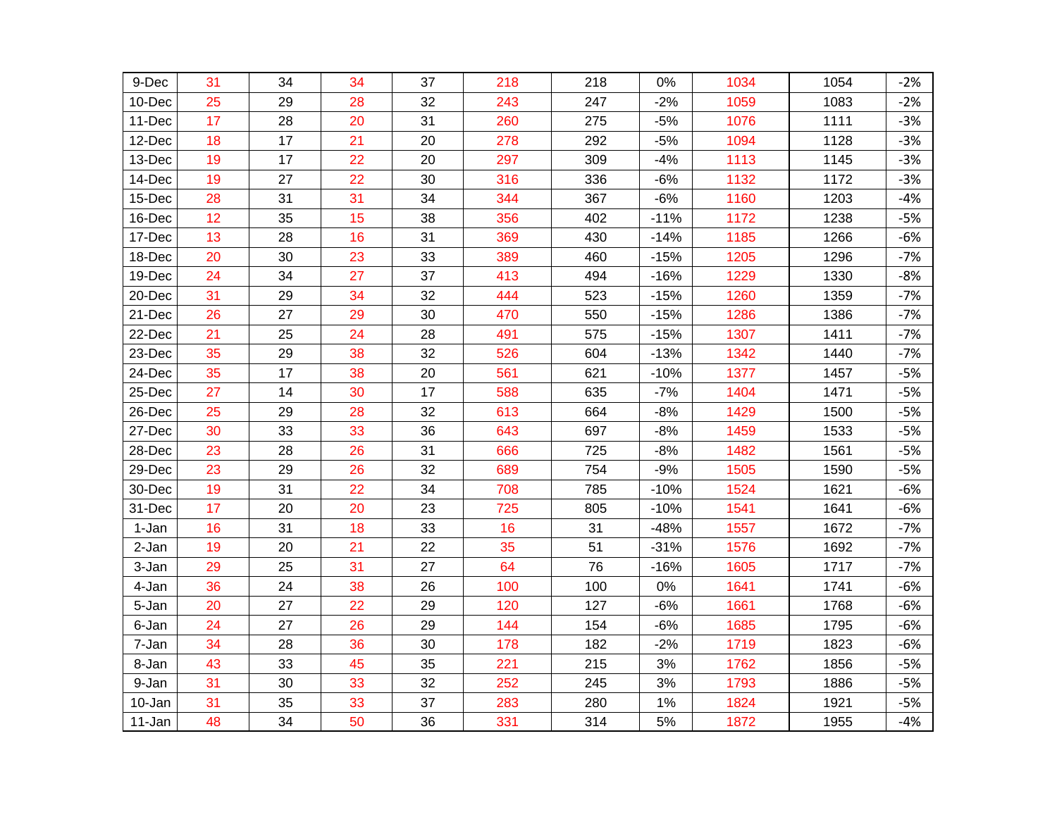| 9-Dec  | 31 | 34 | 34 | 37 | 218 | 218 | 0%     | 1034 | 1054 | $-2%$ |
|--------|----|----|----|----|-----|-----|--------|------|------|-------|
| 10-Dec | 25 | 29 | 28 | 32 | 243 | 247 | $-2%$  | 1059 | 1083 | $-2%$ |
| 11-Dec | 17 | 28 | 20 | 31 | 260 | 275 | $-5%$  | 1076 | 1111 | $-3%$ |
| 12-Dec | 18 | 17 | 21 | 20 | 278 | 292 | $-5%$  | 1094 | 1128 | $-3%$ |
| 13-Dec | 19 | 17 | 22 | 20 | 297 | 309 | $-4%$  | 1113 | 1145 | $-3%$ |
| 14-Dec | 19 | 27 | 22 | 30 | 316 | 336 | $-6%$  | 1132 | 1172 | $-3%$ |
| 15-Dec | 28 | 31 | 31 | 34 | 344 | 367 | $-6%$  | 1160 | 1203 | $-4%$ |
| 16-Dec | 12 | 35 | 15 | 38 | 356 | 402 | $-11%$ | 1172 | 1238 | $-5%$ |
| 17-Dec | 13 | 28 | 16 | 31 | 369 | 430 | $-14%$ | 1185 | 1266 | $-6%$ |
| 18-Dec | 20 | 30 | 23 | 33 | 389 | 460 | $-15%$ | 1205 | 1296 | $-7%$ |
| 19-Dec | 24 | 34 | 27 | 37 | 413 | 494 | $-16%$ | 1229 | 1330 | $-8%$ |
| 20-Dec | 31 | 29 | 34 | 32 | 444 | 523 | $-15%$ | 1260 | 1359 | $-7%$ |
| 21-Dec | 26 | 27 | 29 | 30 | 470 | 550 | $-15%$ | 1286 | 1386 | $-7%$ |
| 22-Dec | 21 | 25 | 24 | 28 | 491 | 575 | $-15%$ | 1307 | 1411 | $-7%$ |
| 23-Dec | 35 | 29 | 38 | 32 | 526 | 604 | $-13%$ | 1342 | 1440 | $-7%$ |
| 24-Dec | 35 | 17 | 38 | 20 | 561 | 621 | $-10%$ | 1377 | 1457 | $-5%$ |
| 25-Dec | 27 | 14 | 30 | 17 | 588 | 635 | $-7%$  | 1404 | 1471 | $-5%$ |
| 26-Dec | 25 | 29 | 28 | 32 | 613 | 664 | $-8%$  | 1429 | 1500 | $-5%$ |
| 27-Dec | 30 | 33 | 33 | 36 | 643 | 697 | $-8%$  | 1459 | 1533 | $-5%$ |
| 28-Dec | 23 | 28 | 26 | 31 | 666 | 725 | $-8%$  | 1482 | 1561 | $-5%$ |
| 29-Dec | 23 | 29 | 26 | 32 | 689 | 754 | $-9%$  | 1505 | 1590 | $-5%$ |
| 30-Dec | 19 | 31 | 22 | 34 | 708 | 785 | $-10%$ | 1524 | 1621 | $-6%$ |
| 31-Dec | 17 | 20 | 20 | 23 | 725 | 805 | $-10%$ | 1541 | 1641 | $-6%$ |
| 1-Jan  | 16 | 31 | 18 | 33 | 16  | 31  | $-48%$ | 1557 | 1672 | $-7%$ |
| 2-Jan  | 19 | 20 | 21 | 22 | 35  | 51  | $-31%$ | 1576 | 1692 | $-7%$ |
| 3-Jan  | 29 | 25 | 31 | 27 | 64  | 76  | $-16%$ | 1605 | 1717 | $-7%$ |
| 4-Jan  | 36 | 24 | 38 | 26 | 100 | 100 | 0%     | 1641 | 1741 | $-6%$ |
| 5-Jan  | 20 | 27 | 22 | 29 | 120 | 127 | $-6%$  | 1661 | 1768 | $-6%$ |
| 6-Jan  | 24 | 27 | 26 | 29 | 144 | 154 | $-6%$  | 1685 | 1795 | $-6%$ |
| 7-Jan  | 34 | 28 | 36 | 30 | 178 | 182 | $-2%$  | 1719 | 1823 | $-6%$ |
| 8-Jan  | 43 | 33 | 45 | 35 | 221 | 215 | 3%     | 1762 | 1856 | $-5%$ |
| 9-Jan  | 31 | 30 | 33 | 32 | 252 | 245 | 3%     | 1793 | 1886 | $-5%$ |
| 10-Jan | 31 | 35 | 33 | 37 | 283 | 280 | 1%     | 1824 | 1921 | $-5%$ |
| 11-Jan | 48 | 34 | 50 | 36 | 331 | 314 | 5%     | 1872 | 1955 | $-4%$ |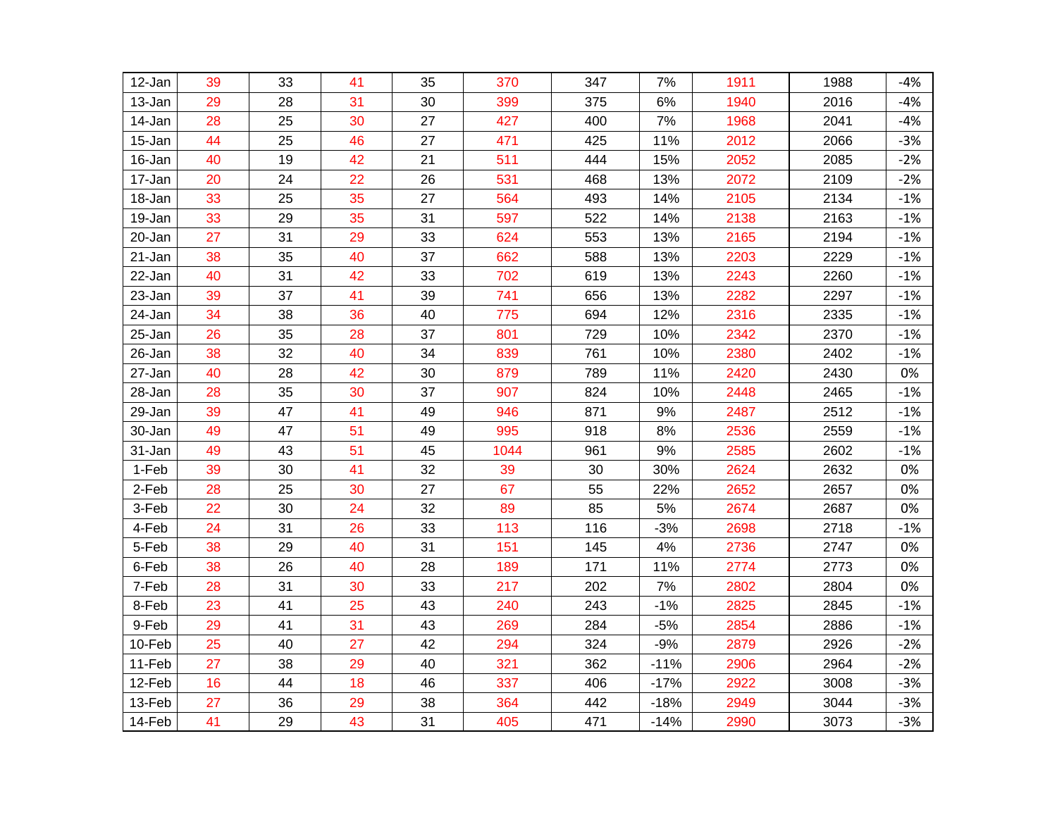| 12-Jan | 39 | 33 | 41 | 35 | 370  | 347 | 7%     | 1911 | 1988 | $-4%$ |
|--------|----|----|----|----|------|-----|--------|------|------|-------|
| 13-Jan | 29 | 28 | 31 | 30 | 399  | 375 | 6%     | 1940 | 2016 | $-4%$ |
| 14-Jan | 28 | 25 | 30 | 27 | 427  | 400 | $7\%$  | 1968 | 2041 | $-4%$ |
| 15-Jan | 44 | 25 | 46 | 27 | 471  | 425 | 11%    | 2012 | 2066 | $-3%$ |
| 16-Jan | 40 | 19 | 42 | 21 | 511  | 444 | 15%    | 2052 | 2085 | $-2%$ |
| 17-Jan | 20 | 24 | 22 | 26 | 531  | 468 | 13%    | 2072 | 2109 | $-2%$ |
| 18-Jan | 33 | 25 | 35 | 27 | 564  | 493 | 14%    | 2105 | 2134 | $-1%$ |
| 19-Jan | 33 | 29 | 35 | 31 | 597  | 522 | 14%    | 2138 | 2163 | $-1%$ |
| 20-Jan | 27 | 31 | 29 | 33 | 624  | 553 | 13%    | 2165 | 2194 | $-1%$ |
| 21-Jan | 38 | 35 | 40 | 37 | 662  | 588 | 13%    | 2203 | 2229 | $-1%$ |
| 22-Jan | 40 | 31 | 42 | 33 | 702  | 619 | 13%    | 2243 | 2260 | $-1%$ |
| 23-Jan | 39 | 37 | 41 | 39 | 741  | 656 | 13%    | 2282 | 2297 | $-1%$ |
| 24-Jan | 34 | 38 | 36 | 40 | 775  | 694 | 12%    | 2316 | 2335 | $-1%$ |
| 25-Jan | 26 | 35 | 28 | 37 | 801  | 729 | 10%    | 2342 | 2370 | $-1%$ |
| 26-Jan | 38 | 32 | 40 | 34 | 839  | 761 | 10%    | 2380 | 2402 | $-1%$ |
| 27-Jan | 40 | 28 | 42 | 30 | 879  | 789 | 11%    | 2420 | 2430 | 0%    |
| 28-Jan | 28 | 35 | 30 | 37 | 907  | 824 | 10%    | 2448 | 2465 | $-1%$ |
| 29-Jan | 39 | 47 | 41 | 49 | 946  | 871 | 9%     | 2487 | 2512 | $-1%$ |
| 30-Jan | 49 | 47 | 51 | 49 | 995  | 918 | 8%     | 2536 | 2559 | $-1%$ |
| 31-Jan | 49 | 43 | 51 | 45 | 1044 | 961 | 9%     | 2585 | 2602 | $-1%$ |
| 1-Feb  | 39 | 30 | 41 | 32 | 39   | 30  | 30%    | 2624 | 2632 | 0%    |
| 2-Feb  | 28 | 25 | 30 | 27 | 67   | 55  | 22%    | 2652 | 2657 | 0%    |
| 3-Feb  | 22 | 30 | 24 | 32 | 89   | 85  | 5%     | 2674 | 2687 | 0%    |
| 4-Feb  | 24 | 31 | 26 | 33 | 113  | 116 | $-3%$  | 2698 | 2718 | $-1%$ |
| 5-Feb  | 38 | 29 | 40 | 31 | 151  | 145 | 4%     | 2736 | 2747 | 0%    |
| 6-Feb  | 38 | 26 | 40 | 28 | 189  | 171 | 11%    | 2774 | 2773 | 0%    |
| 7-Feb  | 28 | 31 | 30 | 33 | 217  | 202 | 7%     | 2802 | 2804 | 0%    |
| 8-Feb  | 23 | 41 | 25 | 43 | 240  | 243 | $-1%$  | 2825 | 2845 | $-1%$ |
| 9-Feb  | 29 | 41 | 31 | 43 | 269  | 284 | $-5%$  | 2854 | 2886 | $-1%$ |
| 10-Feb | 25 | 40 | 27 | 42 | 294  | 324 | $-9%$  | 2879 | 2926 | $-2%$ |
| 11-Feb | 27 | 38 | 29 | 40 | 321  | 362 | $-11%$ | 2906 | 2964 | $-2%$ |
| 12-Feb | 16 | 44 | 18 | 46 | 337  | 406 | $-17%$ | 2922 | 3008 | $-3%$ |
| 13-Feb | 27 | 36 | 29 | 38 | 364  | 442 | $-18%$ | 2949 | 3044 | $-3%$ |
| 14-Feb | 41 | 29 | 43 | 31 | 405  | 471 | $-14%$ | 2990 | 3073 | $-3%$ |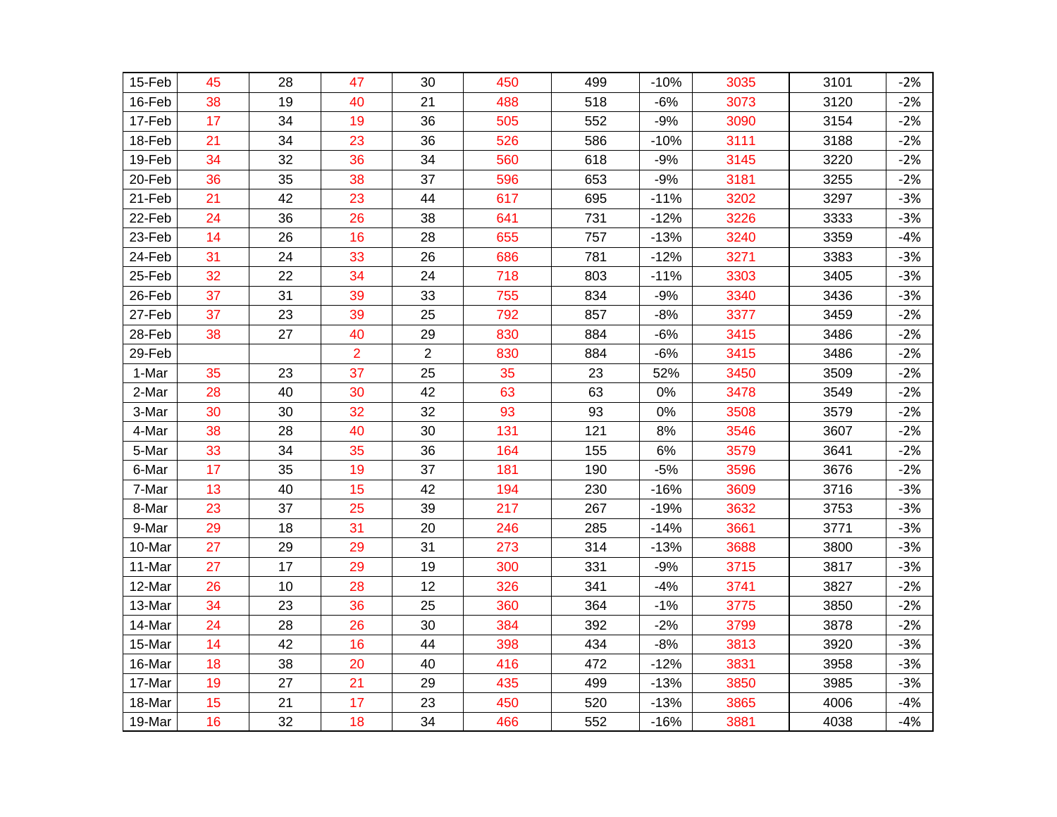| 15-Feb | 45 | 28 | 47             | 30             | 450 | 499 | $-10%$ | 3035 | 3101 | $-2%$ |
|--------|----|----|----------------|----------------|-----|-----|--------|------|------|-------|
| 16-Feb | 38 | 19 | 40             | 21             | 488 | 518 | $-6%$  | 3073 | 3120 | $-2%$ |
| 17-Feb | 17 | 34 | 19             | 36             | 505 | 552 | $-9%$  | 3090 | 3154 | $-2%$ |
| 18-Feb | 21 | 34 | 23             | 36             | 526 | 586 | $-10%$ | 3111 | 3188 | $-2%$ |
| 19-Feb | 34 | 32 | 36             | 34             | 560 | 618 | $-9%$  | 3145 | 3220 | $-2%$ |
| 20-Feb | 36 | 35 | 38             | 37             | 596 | 653 | $-9%$  | 3181 | 3255 | $-2%$ |
| 21-Feb | 21 | 42 | 23             | 44             | 617 | 695 | $-11%$ | 3202 | 3297 | $-3%$ |
| 22-Feb | 24 | 36 | 26             | 38             | 641 | 731 | $-12%$ | 3226 | 3333 | $-3%$ |
| 23-Feb | 14 | 26 | 16             | 28             | 655 | 757 | $-13%$ | 3240 | 3359 | $-4%$ |
| 24-Feb | 31 | 24 | 33             | 26             | 686 | 781 | $-12%$ | 3271 | 3383 | $-3%$ |
| 25-Feb | 32 | 22 | 34             | 24             | 718 | 803 | $-11%$ | 3303 | 3405 | $-3%$ |
| 26-Feb | 37 | 31 | 39             | 33             | 755 | 834 | $-9%$  | 3340 | 3436 | $-3%$ |
| 27-Feb | 37 | 23 | 39             | 25             | 792 | 857 | $-8%$  | 3377 | 3459 | $-2%$ |
| 28-Feb | 38 | 27 | 40             | 29             | 830 | 884 | $-6%$  | 3415 | 3486 | $-2%$ |
| 29-Feb |    |    | $\overline{2}$ | $\overline{c}$ | 830 | 884 | $-6%$  | 3415 | 3486 | $-2%$ |
| 1-Mar  | 35 | 23 | 37             | 25             | 35  | 23  | 52%    | 3450 | 3509 | $-2%$ |
| 2-Mar  | 28 | 40 | 30             | 42             | 63  | 63  | $0\%$  | 3478 | 3549 | $-2%$ |
| 3-Mar  | 30 | 30 | 32             | 32             | 93  | 93  | $0\%$  | 3508 | 3579 | $-2%$ |
| 4-Mar  | 38 | 28 | 40             | 30             | 131 | 121 | 8%     | 3546 | 3607 | $-2%$ |
| 5-Mar  | 33 | 34 | 35             | 36             | 164 | 155 | $6\%$  | 3579 | 3641 | $-2%$ |
| 6-Mar  | 17 | 35 | 19             | 37             | 181 | 190 | $-5%$  | 3596 | 3676 | $-2%$ |
| 7-Mar  | 13 | 40 | 15             | 42             | 194 | 230 | $-16%$ | 3609 | 3716 | $-3%$ |
| 8-Mar  | 23 | 37 | 25             | 39             | 217 | 267 | $-19%$ | 3632 | 3753 | $-3%$ |
| 9-Mar  | 29 | 18 | 31             | 20             | 246 | 285 | $-14%$ | 3661 | 3771 | $-3%$ |
| 10-Mar | 27 | 29 | 29             | 31             | 273 | 314 | $-13%$ | 3688 | 3800 | $-3%$ |
| 11-Mar | 27 | 17 | 29             | 19             | 300 | 331 | $-9%$  | 3715 | 3817 | $-3%$ |
| 12-Mar | 26 | 10 | 28             | 12             | 326 | 341 | $-4%$  | 3741 | 3827 | $-2%$ |
| 13-Mar | 34 | 23 | 36             | 25             | 360 | 364 | $-1%$  | 3775 | 3850 | $-2%$ |
| 14-Mar | 24 | 28 | 26             | 30             | 384 | 392 | $-2%$  | 3799 | 3878 | $-2%$ |
| 15-Mar | 14 | 42 | 16             | 44             | 398 | 434 | $-8%$  | 3813 | 3920 | $-3%$ |
| 16-Mar | 18 | 38 | 20             | 40             | 416 | 472 | $-12%$ | 3831 | 3958 | $-3%$ |
| 17-Mar | 19 | 27 | 21             | 29             | 435 | 499 | $-13%$ | 3850 | 3985 | $-3%$ |
| 18-Mar | 15 | 21 | 17             | 23             | 450 | 520 | $-13%$ | 3865 | 4006 | $-4%$ |
| 19-Mar | 16 | 32 | 18             | 34             | 466 | 552 | $-16%$ | 3881 | 4038 | $-4%$ |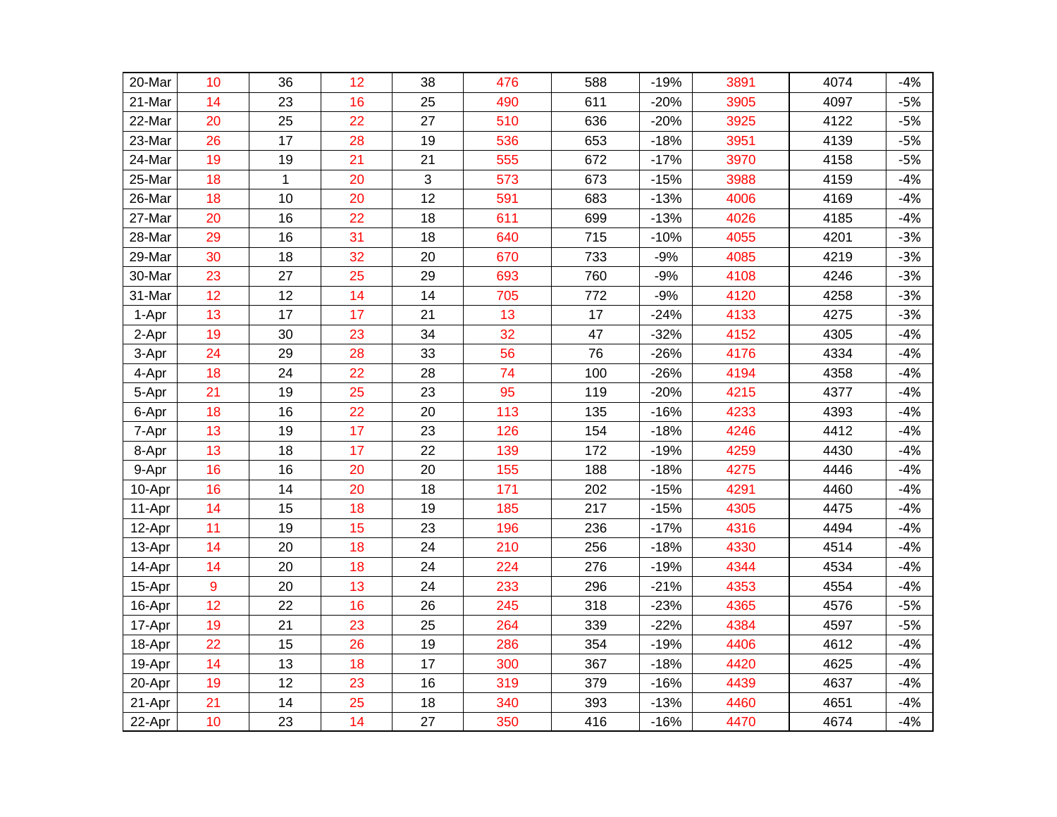| 20-Mar | 10 | 36           | 12 | 38 | 476 | 588 | $-19%$ | 3891 | 4074 | $-4%$ |
|--------|----|--------------|----|----|-----|-----|--------|------|------|-------|
| 21-Mar | 14 | 23           | 16 | 25 | 490 | 611 | $-20%$ | 3905 | 4097 | $-5%$ |
| 22-Mar | 20 | 25           | 22 | 27 | 510 | 636 | $-20%$ | 3925 | 4122 | $-5%$ |
| 23-Mar | 26 | 17           | 28 | 19 | 536 | 653 | $-18%$ | 3951 | 4139 | $-5%$ |
| 24-Mar | 19 | 19           | 21 | 21 | 555 | 672 | $-17%$ | 3970 | 4158 | $-5%$ |
| 25-Mar | 18 | $\mathbf{1}$ | 20 | 3  | 573 | 673 | $-15%$ | 3988 | 4159 | $-4%$ |
| 26-Mar | 18 | 10           | 20 | 12 | 591 | 683 | $-13%$ | 4006 | 4169 | $-4%$ |
| 27-Mar | 20 | 16           | 22 | 18 | 611 | 699 | $-13%$ | 4026 | 4185 | $-4%$ |
| 28-Mar | 29 | 16           | 31 | 18 | 640 | 715 | $-10%$ | 4055 | 4201 | $-3%$ |
| 29-Mar | 30 | 18           | 32 | 20 | 670 | 733 | $-9%$  | 4085 | 4219 | $-3%$ |
| 30-Mar | 23 | 27           | 25 | 29 | 693 | 760 | $-9%$  | 4108 | 4246 | $-3%$ |
| 31-Mar | 12 | 12           | 14 | 14 | 705 | 772 | $-9%$  | 4120 | 4258 | $-3%$ |
| 1-Apr  | 13 | 17           | 17 | 21 | 13  | 17  | $-24%$ | 4133 | 4275 | $-3%$ |
| 2-Apr  | 19 | 30           | 23 | 34 | 32  | 47  | $-32%$ | 4152 | 4305 | $-4%$ |
| 3-Apr  | 24 | 29           | 28 | 33 | 56  | 76  | $-26%$ | 4176 | 4334 | $-4%$ |
| 4-Apr  | 18 | 24           | 22 | 28 | 74  | 100 | $-26%$ | 4194 | 4358 | $-4%$ |
| 5-Apr  | 21 | 19           | 25 | 23 | 95  | 119 | $-20%$ | 4215 | 4377 | $-4%$ |
| 6-Apr  | 18 | 16           | 22 | 20 | 113 | 135 | $-16%$ | 4233 | 4393 | $-4%$ |
| 7-Apr  | 13 | 19           | 17 | 23 | 126 | 154 | $-18%$ | 4246 | 4412 | $-4%$ |
| 8-Apr  | 13 | 18           | 17 | 22 | 139 | 172 | $-19%$ | 4259 | 4430 | $-4%$ |
| 9-Apr  | 16 | 16           | 20 | 20 | 155 | 188 | $-18%$ | 4275 | 4446 | $-4%$ |
| 10-Apr | 16 | 14           | 20 | 18 | 171 | 202 | $-15%$ | 4291 | 4460 | $-4%$ |
| 11-Apr | 14 | 15           | 18 | 19 | 185 | 217 | $-15%$ | 4305 | 4475 | $-4%$ |
| 12-Apr | 11 | 19           | 15 | 23 | 196 | 236 | $-17%$ | 4316 | 4494 | $-4%$ |
| 13-Apr | 14 | 20           | 18 | 24 | 210 | 256 | $-18%$ | 4330 | 4514 | $-4%$ |
| 14-Apr | 14 | 20           | 18 | 24 | 224 | 276 | $-19%$ | 4344 | 4534 | $-4%$ |
| 15-Apr | 9  | 20           | 13 | 24 | 233 | 296 | $-21%$ | 4353 | 4554 | $-4%$ |
| 16-Apr | 12 | 22           | 16 | 26 | 245 | 318 | $-23%$ | 4365 | 4576 | $-5%$ |
| 17-Apr | 19 | 21           | 23 | 25 | 264 | 339 | $-22%$ | 4384 | 4597 | $-5%$ |
| 18-Apr | 22 | 15           | 26 | 19 | 286 | 354 | $-19%$ | 4406 | 4612 | $-4%$ |
| 19-Apr | 14 | 13           | 18 | 17 | 300 | 367 | $-18%$ | 4420 | 4625 | $-4%$ |
| 20-Apr | 19 | 12           | 23 | 16 | 319 | 379 | $-16%$ | 4439 | 4637 | $-4%$ |
| 21-Apr | 21 | 14           | 25 | 18 | 340 | 393 | $-13%$ | 4460 | 4651 | $-4%$ |
| 22-Apr | 10 | 23           | 14 | 27 | 350 | 416 | $-16%$ | 4470 | 4674 | $-4%$ |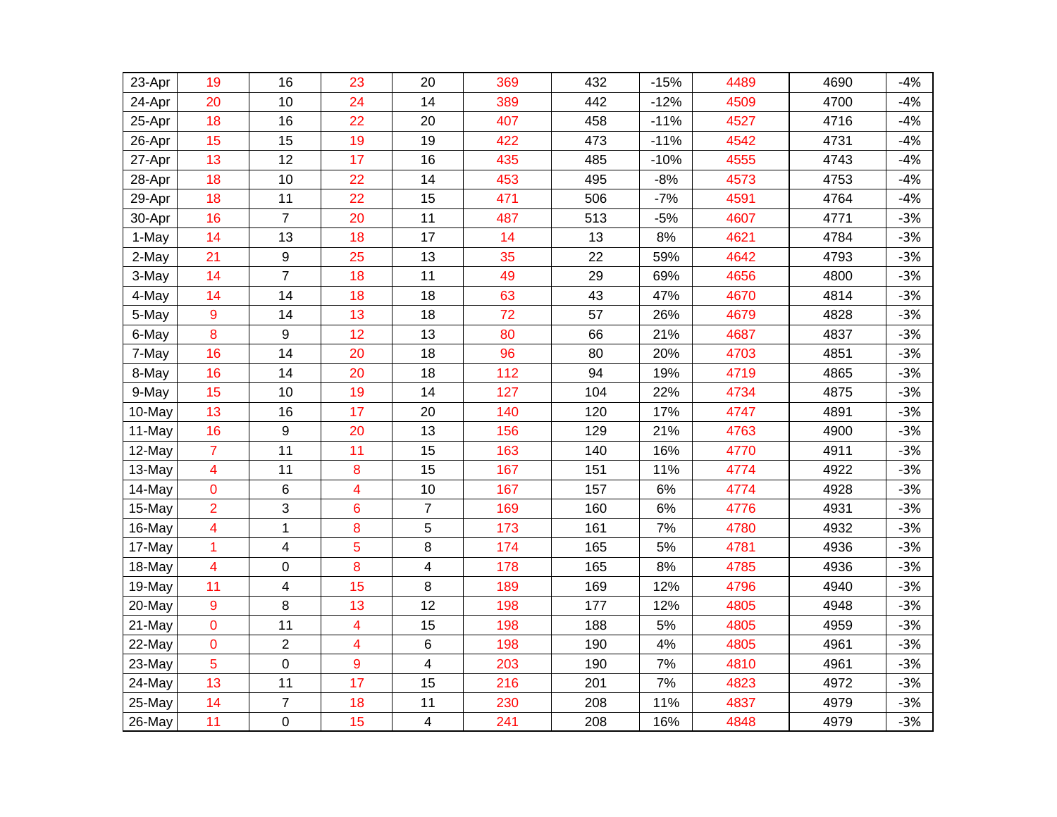| 23-Apr | 19                      | 16                      | 23                      | 20             | 369 | 432 | $-15%$ | 4489 | 4690 | $-4%$ |
|--------|-------------------------|-------------------------|-------------------------|----------------|-----|-----|--------|------|------|-------|
| 24-Apr | 20                      | 10                      | 24                      | 14             | 389 | 442 | $-12%$ | 4509 | 4700 | $-4%$ |
| 25-Apr | 18                      | 16                      | 22                      | 20             | 407 | 458 | $-11%$ | 4527 | 4716 | $-4%$ |
| 26-Apr | 15                      | 15                      | 19                      | 19             | 422 | 473 | $-11%$ | 4542 | 4731 | $-4%$ |
| 27-Apr | 13                      | 12                      | 17                      | 16             | 435 | 485 | $-10%$ | 4555 | 4743 | $-4%$ |
| 28-Apr | 18                      | 10                      | 22                      | 14             | 453 | 495 | $-8%$  | 4573 | 4753 | $-4%$ |
| 29-Apr | 18                      | 11                      | 22                      | 15             | 471 | 506 | $-7%$  | 4591 | 4764 | $-4%$ |
| 30-Apr | 16                      | $\overline{7}$          | 20                      | 11             | 487 | 513 | $-5%$  | 4607 | 4771 | $-3%$ |
| 1-May  | 14                      | 13                      | 18                      | 17             | 14  | 13  | $8%$   | 4621 | 4784 | $-3%$ |
| 2-May  | 21                      | 9                       | 25                      | 13             | 35  | 22  | 59%    | 4642 | 4793 | $-3%$ |
| 3-May  | 14                      | $\overline{7}$          | 18                      | 11             | 49  | 29  | 69%    | 4656 | 4800 | $-3%$ |
| 4-May  | 14                      | 14                      | 18                      | 18             | 63  | 43  | 47%    | 4670 | 4814 | $-3%$ |
| 5-May  | $\overline{9}$          | 14                      | 13                      | 18             | 72  | 57  | 26%    | 4679 | 4828 | $-3%$ |
| 6-May  | 8                       | 9                       | 12                      | 13             | 80  | 66  | 21%    | 4687 | 4837 | $-3%$ |
| 7-May  | 16                      | 14                      | 20                      | 18             | 96  | 80  | 20%    | 4703 | 4851 | $-3%$ |
| 8-May  | 16                      | 14                      | 20                      | 18             | 112 | 94  | 19%    | 4719 | 4865 | $-3%$ |
| 9-May  | 15                      | 10                      | 19                      | 14             | 127 | 104 | 22%    | 4734 | 4875 | $-3%$ |
| 10-May | 13                      | 16                      | 17                      | 20             | 140 | 120 | 17%    | 4747 | 4891 | $-3%$ |
| 11-May | 16                      | 9                       | 20                      | 13             | 156 | 129 | 21%    | 4763 | 4900 | $-3%$ |
| 12-May | $\overline{7}$          | 11                      | 11                      | 15             | 163 | 140 | 16%    | 4770 | 4911 | $-3%$ |
| 13-May | $\overline{\mathbf{4}}$ | 11                      | 8                       | 15             | 167 | 151 | 11%    | 4774 | 4922 | $-3%$ |
| 14-May | $\overline{0}$          | 6                       | $\overline{\mathbf{4}}$ | 10             | 167 | 157 | 6%     | 4774 | 4928 | $-3%$ |
| 15-May | $\overline{2}$          | 3                       | 6                       | $\overline{7}$ | 169 | 160 | $6\%$  | 4776 | 4931 | $-3%$ |
| 16-May | 4                       | 1                       | 8                       | 5              | 173 | 161 | 7%     | 4780 | 4932 | $-3%$ |
| 17-May | $\mathbf{1}$            | $\overline{\mathbf{4}}$ | 5                       | 8              | 174 | 165 | 5%     | 4781 | 4936 | $-3%$ |
| 18-May | $\overline{\mathbf{4}}$ | 0                       | 8                       | 4              | 178 | 165 | 8%     | 4785 | 4936 | $-3%$ |
| 19-May | 11                      | 4                       | 15                      | 8              | 189 | 169 | 12%    | 4796 | 4940 | $-3%$ |
| 20-May | $\overline{9}$          | 8                       | 13                      | 12             | 198 | 177 | 12%    | 4805 | 4948 | $-3%$ |
| 21-May | $\mathbf 0$             | 11                      | 4                       | 15             | 198 | 188 | 5%     | 4805 | 4959 | $-3%$ |
| 22-May | $\mathbf 0$             | $\overline{2}$          | $\overline{\mathbf{4}}$ | 6              | 198 | 190 | 4%     | 4805 | 4961 | $-3%$ |
| 23-May | 5                       | $\mathbf 0$             | 9                       | 4              | 203 | 190 | $7\%$  | 4810 | 4961 | $-3%$ |
| 24-May | 13                      | 11                      | 17                      | 15             | 216 | 201 | 7%     | 4823 | 4972 | $-3%$ |
| 25-May | 14                      | $\overline{7}$          | 18                      | 11             | 230 | 208 | 11%    | 4837 | 4979 | $-3%$ |
| 26-May | 11                      | 0                       | 15                      | 4              | 241 | 208 | 16%    | 4848 | 4979 | $-3%$ |